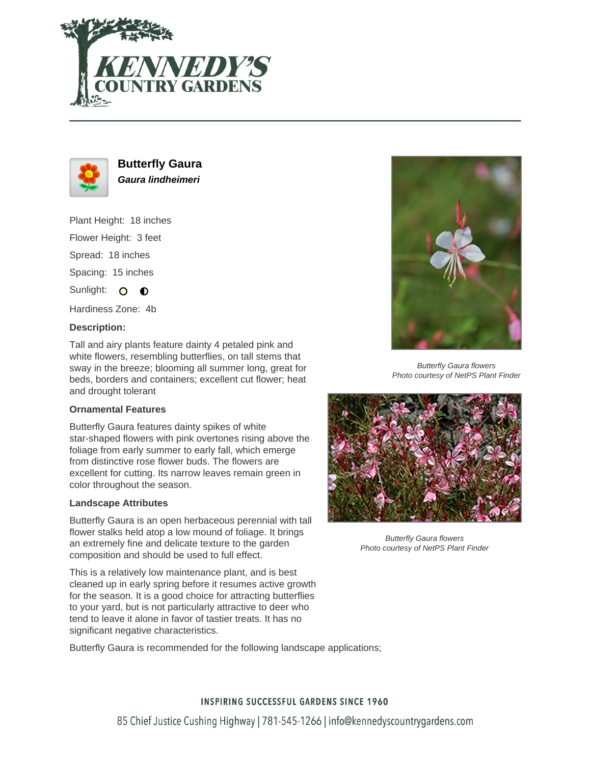



**Butterfly Gaura Gaura lindheimeri**

Plant Height: 18 inches Flower Height: 3 feet

Spread: 18 inches

Spacing: 15 inches

Sunlight: O  $\bullet$ 

Hardiness Zone: 4b

#### **Description:**

Tall and airy plants feature dainty 4 petaled pink and white flowers, resembling butterflies, on tall stems that sway in the breeze; blooming all summer long, great for beds, borders and containers; excellent cut flower; heat and drought tolerant

### **Ornamental Features**

Butterfly Gaura features dainty spikes of white star-shaped flowers with pink overtones rising above the foliage from early summer to early fall, which emerge from distinctive rose flower buds. The flowers are excellent for cutting. Its narrow leaves remain green in color throughout the season.

#### **Landscape Attributes**

Butterfly Gaura is an open herbaceous perennial with tall flower stalks held atop a low mound of foliage. It brings an extremely fine and delicate texture to the garden composition and should be used to full effect.

This is a relatively low maintenance plant, and is best cleaned up in early spring before it resumes active growth for the season. It is a good choice for attracting butterflies to your yard, but is not particularly attractive to deer who tend to leave it alone in favor of tastier treats. It has no significant negative characteristics.

Butterfly Gaura is recommended for the following landscape applications;



Butterfly Gaura flowers Photo courtesy of NetPS Plant Finder



Butterfly Gaura flowers Photo courtesy of NetPS Plant Finder

# **INSPIRING SUCCESSFUL GARDENS SINCE 1960**